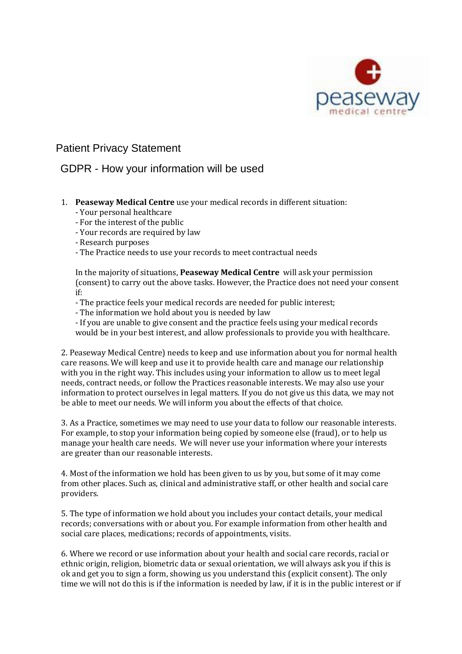

## Patient Privacy Statement

## GDPR - How your information will be used

- 1. **Peaseway Medical Centre** use your medical records in different situation:
	- Your personal healthcare
	- For the interest of the public
	- Your records are required by law
	- Research purposes
	- The Practice needs to use your records to meet contractual needs

In the majority of situations, **Peaseway Medical Centre** will ask your permission (consent) to carry out the above tasks. However, the Practice does not need your consent if:

- The practice feels your medical records are needed for public interest;
- The information we hold about you is needed by law
- If you are unable to give consent and the practice feels using your medical records would be in your best interest, and allow professionals to provide you with healthcare.

2. Peaseway Medical Centre) needs to keep and use information about you for normal health care reasons. We will keep and use it to provide health care and manage our relationship with you in the right way. This includes using your information to allow us to meet legal needs, contract needs, or follow the Practices reasonable interests. We may also use your information to protect ourselves in legal matters. If you do not give us this data, we may not be able to meet our needs. We will inform you about the effects of that choice.

3. As a Practice, sometimes we may need to use your data to follow our reasonable interests. For example, to stop your information being copied by someone else (fraud), or to help us manage your health care needs. We will never use your information where your interests are greater than our reasonable interests.

4. Most of the information we hold has been given to us by you, but some of it may come from other places. Such as, clinical and administrative staff, or other health and social care providers.

5. The type of information we hold about you includes your contact details, your medical records; conversations with or about you. For example information from other health and social care places, medications; records of appointments, visits.

6. Where we record or use information about your health and social care records, racial or ethnic origin, religion, biometric data or sexual orientation, we will always ask you if this is ok and get you to sign a form, showing us you understand this (explicit consent). The only time we will not do this is if the information is needed by law, if it is in the public interest or if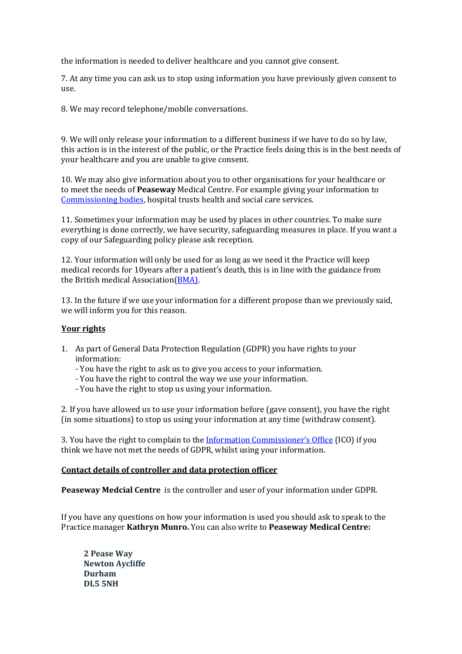the information is needed to deliver healthcare and you cannot give consent.

7. At any time you can ask us to stop using information you have previously given consent to use.

8. We may record telephone/mobile conversations.

9. We will only release your information to a different business if we have to do so by law, this action is in the interest of the public, or the Practice feels doing this is in the best needs of your healthcare and you are unable to give consent.

10. We may also give information about you to other organisations for your healthcare or to meet the needs of **Peaseway** Medical Centre. For example giving your information to [Commissioning bodies,](https://www.nhscc.org/ccgs/) hospital trusts health and social care services.

11. Sometimes your information may be used by places in other countries. To make sure everything is done correctly, we have security, safeguarding measures in place. If you want a copy of our Safeguarding policy please ask reception.

12. Your information will only be used for as long as we need it the Practice will keep medical records for 10years after a patient's death, this is in line with the guidance from the British medical Association[\(BMA\)](https://www.bma.org.uk/advice/employment/ethics/confidentiality-and-health-records/retention-of-health-records).

13. In the future if we use your information for a different propose than we previously said, we will inform you for this reason.

## **Your rights**

- 1. As part of General Data Protection Regulation (GDPR) you have rights to your information:
	- You have the right to ask us to give you access to your information.
	- You have the right to control the way we use your information.
	- You have the right to stop us using your information.

2. If you have allowed us to use your information before (gave consent), you have the right (in some situations) to stop us using your information at any time (withdraw consent).

3. You have the right to complain to the [Information Commissioner's Office](https://ico.org.uk/) (ICO) if you think we have not met the needs of GDPR, whilst using your information.

## **Contact details of controller and data protection officer**

**Peaseway Medcial Centre** is the controller and user of your information under GDPR.

If you have any questions on how your information is used you should ask to speak to the Practice manager **Kathryn Munro.** You can also write to **Peaseway Medical Centre:**

**2 Pease Way Newton Aycliffe Durham DL5 5NH**